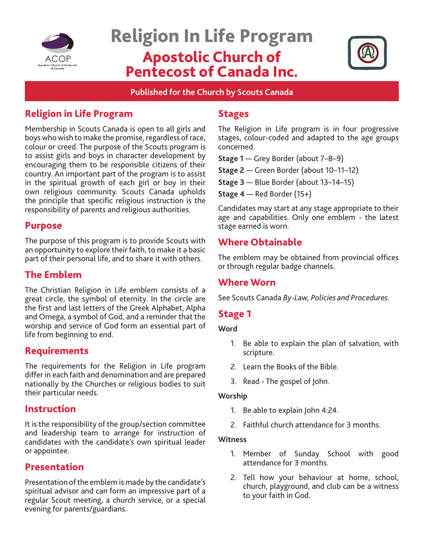

# Religion In Life Program Apostolic Church of Pentecost of Canada Inc.



**Published for the Church by Scouts Canada**

## Religion in Life Program

Membership in Scouts Canada is open to all girls and boys who wish to make the promise, regardless of race, colour or creed. The purpose of the Scouts program is to assist girls and boys in character development by encouraging them to be responsible citizens of their country. An important part of the program is to assist in the spiritual growth of each girl or boy in their own religious community. Scouts Canada upholds the principle that specific religious instruction is the responsibility of parents and religious authorities.

## Purpose

The purpose of this program is to provide Scouts with an opportunity to explore their faith, to make it a basic part of their personal life, and to share it with others.

## The Emblem

The Christian Religion in Life emblem consists of a great circle, the symbol of eternity. In the circle are the first and last letters of the Greek Alphabet, Alpha and Omega, a symbol of God, and a reminder that the worship and service of God form an essential part of life from beginning to end.

## Requirements

The requirements for the Religion in Life program differ in each faith and denomination and are prepared nationally by the Churches or religious bodies to suit their particular needs.

## Instruction

It is the responsibility of the group/section committee and leadership team to arrange for instruction of candidates with the candidate's own spiritual leader or appointee.

## Presentation

Presentation of the emblem is made by the candidate's spiritual advisor and can form an impressive part of a regular Scout meeting, a church service, or a special evening for parents/guardians.

## Stages

The Religion in Life program is in four progressive stages, colour-coded and adapted to the age groups concerned.

**Stage 1** — Grey Border (about 7–8–9)

**Stage 2** — Green Border (about 10–11–12)

**Stage 3** — Blue Border (about 13–14–15)

**Stage 4** — Red Border (15+)

Candidates may start at any stage appropriate to their age and capabilities. Only one emblem - the latest stage earned is worn.

# Where Obtainable

The emblem may be obtained from provincial offices or through regular badge channels.

## Where Worn

See Scouts Canada *By-Law, Policies and Procedures.*

# Stage 1

#### **Word**

- 1. Be able to explain the plan of salvation, with scripture.
- 2. Learn the Books of the Bible.
- 3. Read The gospel of John.

## **Worship**

- 1. Be able to explain John 4:24.
- 2. Faithful church attendance for 3 months.

#### **Witness**

- 1. Member of Sunday School with good attendance for 3 months.
- 2. Tell how your behaviour at home, school, church, playground, and club can be a witness to your faith in God.